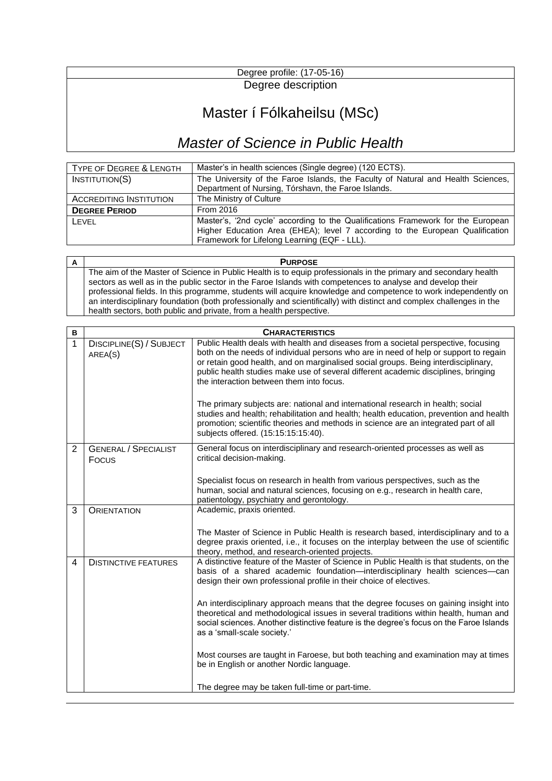## Degree profile: (17-05-16) Degree description

## Master í Fólkaheilsu (MSc)

## *Master of Science in Public Health*

| TYPE OF DEGREE & LENGTH        | Master's in health sciences (Single degree) (120 ECTS).                                                                                                                                                           |
|--------------------------------|-------------------------------------------------------------------------------------------------------------------------------------------------------------------------------------------------------------------|
| INSTITUTION(S)                 | The University of the Faroe Islands, the Faculty of Natural and Health Sciences,                                                                                                                                  |
|                                | Department of Nursing, Tórshavn, the Faroe Islands.                                                                                                                                                               |
| <b>ACCREDITING INSTITUTION</b> | The Ministry of Culture                                                                                                                                                                                           |
| <b>DEGREE PERIOD</b>           | From 2016                                                                                                                                                                                                         |
| LFVFL                          | Master's, '2nd cycle' according to the Qualifications Framework for the European<br>Higher Education Area (EHEA); level 7 according to the European Qualification<br>Framework for Lifelong Learning (EQF - LLL). |

**A PURPOSE** The aim of the Master of Science in Public Health is to equip professionals in the primary and secondary health sectors as well as in the public sector in the Faroe Islands with competences to analyse and develop their professional fields. In this programme, students will acquire knowledge and competence to work independently on an interdisciplinary foundation (both professionally and scientifically) with distinct and complex challenges in the health sectors, both public and private, from a health perspective.

| B | <b>CHARACTERISTICS</b>               |                                                                                                                                                                                                                                                                                                                                                                                                                                                                                                                                                                                                                                                                        |
|---|--------------------------------------|------------------------------------------------------------------------------------------------------------------------------------------------------------------------------------------------------------------------------------------------------------------------------------------------------------------------------------------------------------------------------------------------------------------------------------------------------------------------------------------------------------------------------------------------------------------------------------------------------------------------------------------------------------------------|
| 1 | DISCIPLINE(S) / SUBJECT<br>AREA(S)   | Public Health deals with health and diseases from a societal perspective, focusing<br>both on the needs of individual persons who are in need of help or support to regain<br>or retain good health, and on marginalised social groups. Being interdisciplinary,<br>public health studies make use of several different academic disciplines, bringing<br>the interaction between them into focus.<br>The primary subjects are: national and international research in health; social<br>studies and health; rehabilitation and health; health education, prevention and health<br>promotion; scientific theories and methods in science are an integrated part of all |
|   |                                      | subjects offered. (15:15:15:15:40).                                                                                                                                                                                                                                                                                                                                                                                                                                                                                                                                                                                                                                    |
| 2 | <b>GENERAL / SPECIALIST</b><br>Focus | General focus on interdisciplinary and research-oriented processes as well as<br>critical decision-making.                                                                                                                                                                                                                                                                                                                                                                                                                                                                                                                                                             |
|   |                                      | Specialist focus on research in health from various perspectives, such as the<br>human, social and natural sciences, focusing on e.g., research in health care,<br>patientology, psychiatry and gerontology.                                                                                                                                                                                                                                                                                                                                                                                                                                                           |
| 3 | <b>ORIENTATION</b>                   | Academic, praxis oriented.                                                                                                                                                                                                                                                                                                                                                                                                                                                                                                                                                                                                                                             |
|   |                                      | The Master of Science in Public Health is research based, interdisciplinary and to a<br>degree praxis oriented, i.e., it focuses on the interplay between the use of scientific<br>theory, method, and research-oriented projects.                                                                                                                                                                                                                                                                                                                                                                                                                                     |
| 4 | <b>DISTINCTIVE FEATURES</b>          | A distinctive feature of the Master of Science in Public Health is that students, on the<br>basis of a shared academic foundation—interdisciplinary health sciences—can<br>design their own professional profile in their choice of electives.                                                                                                                                                                                                                                                                                                                                                                                                                         |
|   |                                      | An interdisciplinary approach means that the degree focuses on gaining insight into<br>theoretical and methodological issues in several traditions within health, human and<br>social sciences. Another distinctive feature is the degree's focus on the Faroe Islands<br>as a 'small-scale society.'                                                                                                                                                                                                                                                                                                                                                                  |
|   |                                      | Most courses are taught in Faroese, but both teaching and examination may at times<br>be in English or another Nordic language.                                                                                                                                                                                                                                                                                                                                                                                                                                                                                                                                        |
|   |                                      | The degree may be taken full-time or part-time.                                                                                                                                                                                                                                                                                                                                                                                                                                                                                                                                                                                                                        |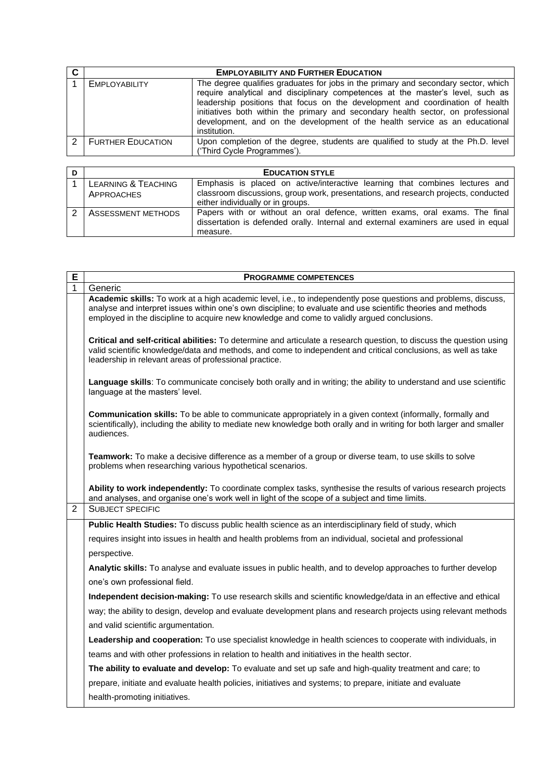|                          | <b>EMPLOYABILITY AND FURTHER EDUCATION</b>                                                                                                                                                                                                                                                                                                                                                                                               |
|--------------------------|------------------------------------------------------------------------------------------------------------------------------------------------------------------------------------------------------------------------------------------------------------------------------------------------------------------------------------------------------------------------------------------------------------------------------------------|
| <b>EMPLOYABILITY</b>     | The degree qualifies graduates for jobs in the primary and secondary sector, which<br>require analytical and disciplinary competences at the master's level, such as<br>leadership positions that focus on the development and coordination of health<br>initiatives both within the primary and secondary health sector, on professional<br>development, and on the development of the health service as an educational<br>institution. |
| <b>FURTHER EDUCATION</b> | Upon completion of the degree, students are qualified to study at the Ph.D. level<br>('Third Cycle Programmes').                                                                                                                                                                                                                                                                                                                         |

| D |                                | <b>EDUCATION STYLE</b>                                                                                                                                             |
|---|--------------------------------|--------------------------------------------------------------------------------------------------------------------------------------------------------------------|
|   | <b>LEARNING &amp; TEACHING</b> | Emphasis is placed on active/interactive learning that combines lectures and                                                                                       |
|   | APPROACHES                     | classroom discussions, group work, presentations, and research projects, conducted                                                                                 |
|   |                                | either individually or in groups.                                                                                                                                  |
|   | ASSESSMENT METHODS             | Papers with or without an oral defence, written exams, oral exams. The final<br>dissertation is defended orally. Internal and external examiners are used in equal |
|   |                                | measure.                                                                                                                                                           |

| Е              | <b>PROGRAMME COMPETENCES</b>                                                                                                                                                                                                                                                                                                    |
|----------------|---------------------------------------------------------------------------------------------------------------------------------------------------------------------------------------------------------------------------------------------------------------------------------------------------------------------------------|
| 1              | Generic                                                                                                                                                                                                                                                                                                                         |
|                | Academic skills: To work at a high academic level, i.e., to independently pose questions and problems, discuss,<br>analyse and interpret issues within one's own discipline; to evaluate and use scientific theories and methods<br>employed in the discipline to acquire new knowledge and come to validly argued conclusions. |
|                | Critical and self-critical abilities: To determine and articulate a research question, to discuss the question using<br>valid scientific knowledge/data and methods, and come to independent and critical conclusions, as well as take<br>leadership in relevant areas of professional practice.                                |
|                | Language skills: To communicate concisely both orally and in writing; the ability to understand and use scientific<br>language at the masters' level.                                                                                                                                                                           |
|                | Communication skills: To be able to communicate appropriately in a given context (informally, formally and<br>scientifically), including the ability to mediate new knowledge both orally and in writing for both larger and smaller<br>audiences.                                                                              |
|                | Teamwork: To make a decisive difference as a member of a group or diverse team, to use skills to solve<br>problems when researching various hypothetical scenarios.                                                                                                                                                             |
|                | Ability to work independently: To coordinate complex tasks, synthesise the results of various research projects<br>and analyses, and organise one's work well in light of the scope of a subject and time limits.                                                                                                               |
| $\mathfrak{p}$ | <b>SUBJECT SPECIFIC</b>                                                                                                                                                                                                                                                                                                         |
|                | Public Health Studies: To discuss public health science as an interdisciplinary field of study, which                                                                                                                                                                                                                           |
|                | requires insight into issues in health and health problems from an individual, societal and professional                                                                                                                                                                                                                        |
|                | perspective.                                                                                                                                                                                                                                                                                                                    |
|                | Analytic skills: To analyse and evaluate issues in public health, and to develop approaches to further develop                                                                                                                                                                                                                  |
|                | one's own professional field.                                                                                                                                                                                                                                                                                                   |
|                | Independent decision-making: To use research skills and scientific knowledge/data in an effective and ethical                                                                                                                                                                                                                   |
|                | way; the ability to design, develop and evaluate development plans and research projects using relevant methods                                                                                                                                                                                                                 |
|                | and valid scientific argumentation.                                                                                                                                                                                                                                                                                             |
|                | Leadership and cooperation: To use specialist knowledge in health sciences to cooperate with individuals, in                                                                                                                                                                                                                    |
|                | teams and with other professions in relation to health and initiatives in the health sector.                                                                                                                                                                                                                                    |
|                | The ability to evaluate and develop: To evaluate and set up safe and high-quality treatment and care; to                                                                                                                                                                                                                        |
|                | prepare, initiate and evaluate health policies, initiatives and systems; to prepare, initiate and evaluate                                                                                                                                                                                                                      |
|                | health-promoting initiatives.                                                                                                                                                                                                                                                                                                   |